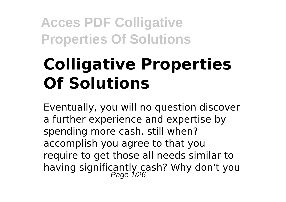# **Colligative Properties Of Solutions**

Eventually, you will no question discover a further experience and expertise by spending more cash. still when? accomplish you agree to that you require to get those all needs similar to having significantly cash? Why don't you<br>Page 1/26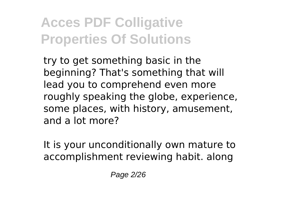try to get something basic in the beginning? That's something that will lead you to comprehend even more roughly speaking the globe, experience, some places, with history, amusement, and a lot more?

It is your unconditionally own mature to accomplishment reviewing habit. along

Page 2/26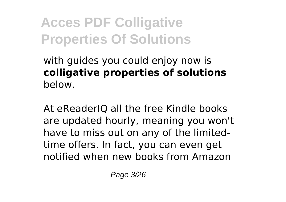#### with guides you could enjoy now is **colligative properties of solutions** below.

At eReaderIQ all the free Kindle books are updated hourly, meaning you won't have to miss out on any of the limitedtime offers. In fact, you can even get notified when new books from Amazon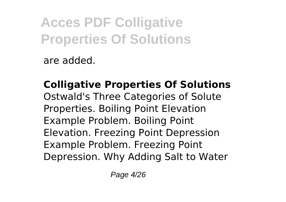are added.

**Colligative Properties Of Solutions** Ostwald's Three Categories of Solute Properties. Boiling Point Elevation Example Problem. Boiling Point Elevation. Freezing Point Depression Example Problem. Freezing Point Depression. Why Adding Salt to Water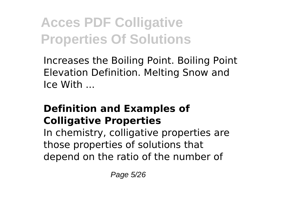Increases the Boiling Point. Boiling Point Elevation Definition. Melting Snow and Ice With ...

### **Definition and Examples of Colligative Properties**

In chemistry, colligative properties are those properties of solutions that depend on the ratio of the number of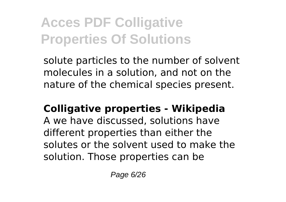solute particles to the number of solvent molecules in a solution, and not on the nature of the chemical species present.

### **Colligative properties - Wikipedia**

A we have discussed, solutions have different properties than either the solutes or the solvent used to make the solution. Those properties can be

Page 6/26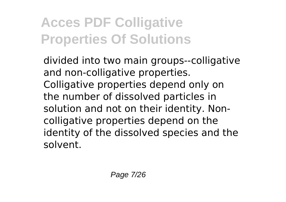divided into two main groups--colligative and non-colligative properties. Colligative properties depend only on the number of dissolved particles in solution and not on their identity. Noncolligative properties depend on the identity of the dissolved species and the solvent.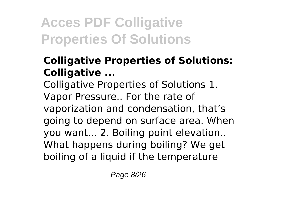#### **Colligative Properties of Solutions: Colligative ...**

Colligative Properties of Solutions 1. Vapor Pressure.. For the rate of vaporization and condensation, that's going to depend on surface area. When you want... 2. Boiling point elevation.. What happens during boiling? We get boiling of a liquid if the temperature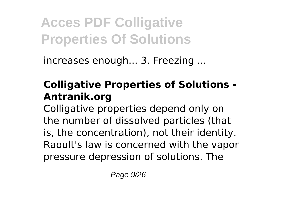increases enough... 3. Freezing ...

### **Colligative Properties of Solutions - Antranik.org**

Colligative properties depend only on the number of dissolved particles (that is, the concentration), not their identity. Raoult's law is concerned with the vapor pressure depression of solutions. The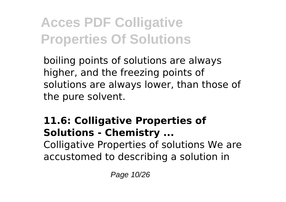boiling points of solutions are always higher, and the freezing points of solutions are always lower, than those of the pure solvent.

### **11.6: Colligative Properties of Solutions - Chemistry ...**

Colligative Properties of solutions We are accustomed to describing a solution in

Page 10/26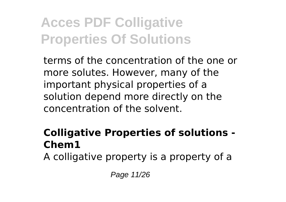terms of the concentration of the one or more solutes. However, many of the important physical properties of a solution depend more directly on the concentration of the solvent.

#### **Colligative Properties of solutions - Chem1**

A colligative property is a property of a

Page 11/26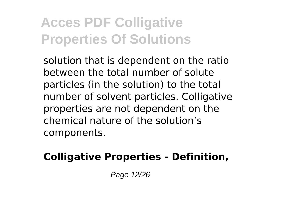solution that is dependent on the ratio between the total number of solute particles (in the solution) to the total number of solvent particles. Colligative properties are not dependent on the chemical nature of the solution's components.

#### **Colligative Properties - Definition,**

Page 12/26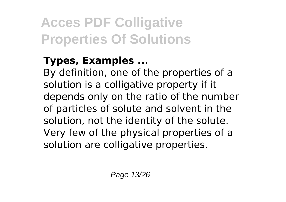### **Types, Examples ...**

By definition, one of the properties of a solution is a colligative property if it depends only on the ratio of the number of particles of solute and solvent in the solution, not the identity of the solute. Very few of the physical properties of a solution are colligative properties.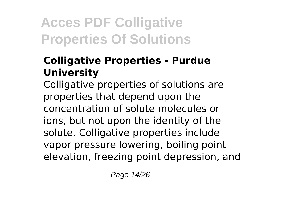### **Colligative Properties - Purdue University**

Colligative properties of solutions are properties that depend upon the concentration of solute molecules or ions, but not upon the identity of the solute. Colligative properties include vapor pressure lowering, boiling point elevation, freezing point depression, and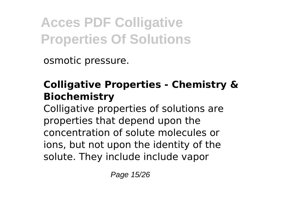osmotic pressure.

### **Colligative Properties - Chemistry & Biochemistry**

Colligative properties of solutions are properties that depend upon the concentration of solute molecules or ions, but not upon the identity of the solute. They include include vapor

Page 15/26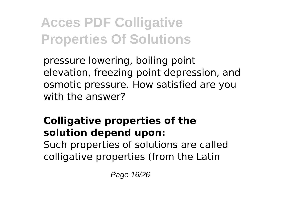pressure lowering, boiling point elevation, freezing point depression, and osmotic pressure. How satisfied are you with the answer?

### **Colligative properties of the solution depend upon:** Such properties of solutions are called colligative properties (from the Latin

Page 16/26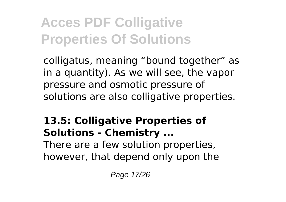colligatus, meaning "bound together" as in a quantity). As we will see, the vapor pressure and osmotic pressure of solutions are also colligative properties.

### **13.5: Colligative Properties of Solutions - Chemistry ...**

There are a few solution properties, however, that depend only upon the

Page 17/26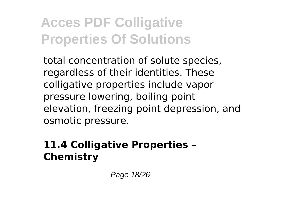total concentration of solute species, regardless of their identities. These colligative properties include vapor pressure lowering, boiling point elevation, freezing point depression, and osmotic pressure.

### **11.4 Colligative Properties – Chemistry**

Page 18/26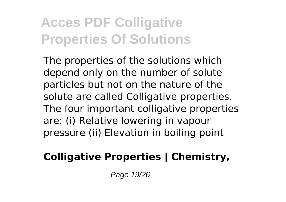The properties of the solutions which depend only on the number of solute particles but not on the nature of the solute are called Colligative properties. The four important colligative properties are: (i) Relative lowering in vapour pressure (ii) Elevation in boiling point

### **Colligative Properties | Chemistry,**

Page 19/26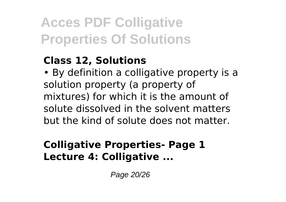#### **Class 12, Solutions**

• By definition a colligative property is a solution property (a property of mixtures) for which it is the amount of solute dissolved in the solvent matters but the kind of solute does not matter.

### **Colligative Properties- Page 1 Lecture 4: Colligative ...**

Page 20/26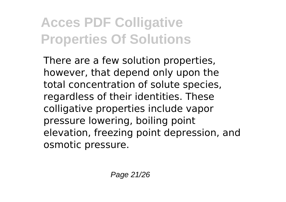There are a few solution properties, however, that depend only upon the total concentration of solute species, regardless of their identities. These colligative properties include vapor pressure lowering, boiling point elevation, freezing point depression, and osmotic pressure.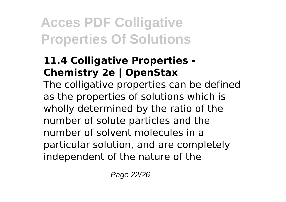### **11.4 Colligative Properties - Chemistry 2e | OpenStax**

The colligative properties can be defined as the properties of solutions which is wholly determined by the ratio of the number of solute particles and the number of solvent molecules in a particular solution, and are completely independent of the nature of the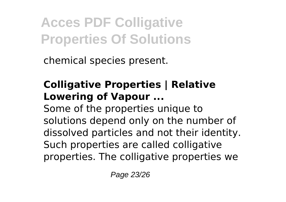chemical species present.

### **Colligative Properties | Relative Lowering of Vapour ...**

Some of the properties unique to solutions depend only on the number of dissolved particles and not their identity. Such properties are called colligative properties. The colligative properties we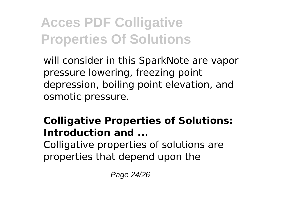will consider in this SparkNote are vapor pressure lowering, freezing point depression, boiling point elevation, and osmotic pressure.

### **Colligative Properties of Solutions: Introduction and ...**

Colligative properties of solutions are properties that depend upon the

Page 24/26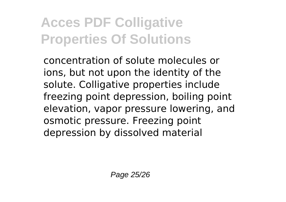concentration of solute molecules or ions, but not upon the identity of the solute. Colligative properties include freezing point depression, boiling point elevation, vapor pressure lowering, and osmotic pressure. Freezing point depression by dissolved material